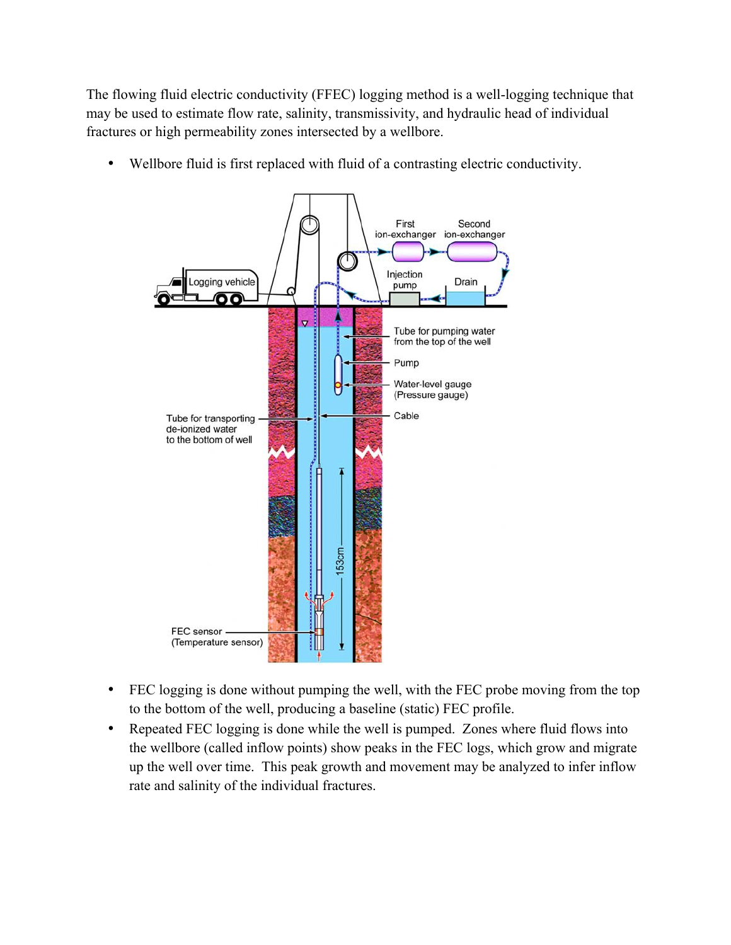The flowing fluid electric conductivity (FFEC) logging method is a well-logging technique that may be used to estimate flow rate, salinity, transmissivity, and hydraulic head of individual fractures or high permeability zones intersected by a wellbore.

• Wellbore fluid is first replaced with fluid of a contrasting electric conductivity.



- FEC logging is done without pumping the well, with the FEC probe moving from the top to the bottom of the well, producing a baseline (static) FEC profile.
- Repeated FEC logging is done while the well is pumped. Zones where fluid flows into the wellbore (called inflow points) show peaks in the FEC logs, which grow and migrate up the well over time. This peak growth and movement may be analyzed to infer inflow rate and salinity of the individual fractures.